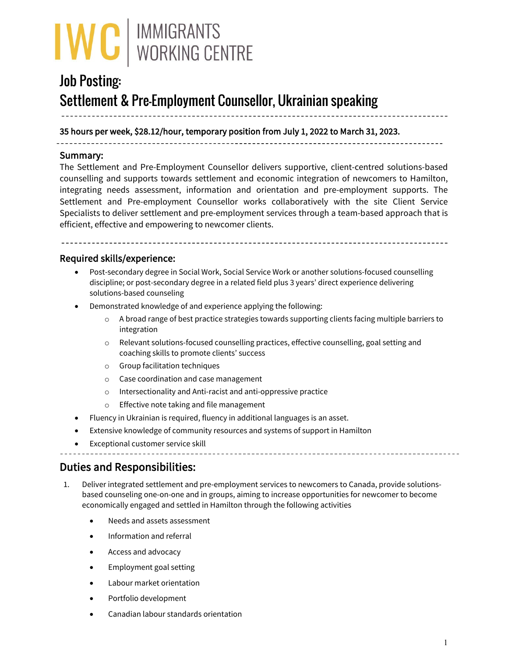

# Job Posting: Settlement & Pre-Employment Counsellor, Ukrainian speaking

35 hours per week, \$28.12/hour, temporary position from July 1, 2022 to March 31, 2023.

1

#### Summary:

The Settlement and Pre-Employment Counsellor delivers supportive, client-centred solutions-based counselling and supports towards settlement and economic integration of newcomers to Hamilton, integrating needs assessment, information and orientation and pre-employment supports. The Settlement and Pre-employment Counsellor works collaboratively with the site Client Service Specialists to deliver settlement and pre-employment services through a team-based approach that is efficient, effective and empowering to newcomer clients.

### Required skills/experience:

- Post-secondary degree in Social Work, Social Service Work or another solutions-focused counselling discipline; or post-secondary degree in a related field plus 3 years' direct experience delivering solutions-based counseling
- Demonstrated knowledge of and experience applying the following:
	- o A broad range of best practice strategies towards supporting clients facing multiple barriers to integration
	- o Relevant solutions-focused counselling practices, effective counselling, goal setting and coaching skills to promote clients' success
	- o Group facilitation techniques
	- o Case coordination and case management
	- o Intersectionality and Anti-racist and anti-oppressive practice
	- o Effective note taking and file management
- Fluency in Ukrainian is required, fluency in additional languages is an asset.
- Extensive knowledge of community resources and systems of support in Hamilton
- Exceptional customer service skill

## Duties and Responsibilities:

- 1. Deliver integrated settlement and pre-employment services to newcomers to Canada, provide solutionsbased counseling one-on-one and in groups, aiming to increase opportunities for newcomer to become economically engaged and settled in Hamilton through the following activities
	- Needs and assets assessment
	- Information and referral
	- Access and advocacy
	- Employment goal setting
	- Labour market orientation
	- Portfolio development
	- Canadian labour standards orientation